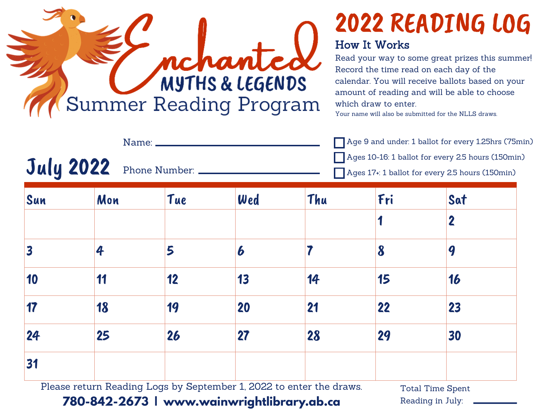

## 2022 READING LOG How It Works

Read your way to some great prizes this summer! Record the time read on each day of the calendar. You will receive ballots based on your amount of reading and will be able to choose which draw to enter.

Your name will also be submitted for the NLLS draws.

July 2022 Age 9 and under: 1 ballot for every 1.25hrs (75min) Ages 10-16: 1 ballot for every 2.5 hours (150min) Ages 17+: 1 ballot for every 2.5 hours (150min) Name: Phone Number: \_

| Sun | Mon | Tue | Wed              | Thu | Fri                   | Sat |
|-----|-----|-----|------------------|-----|-----------------------|-----|
|     |     |     |                  |     |                       | 2   |
| 3   | 4   | 5   | $\boldsymbol{6}$ |     | $\boldsymbol{\delta}$ | 9   |
| 10  | 11  | 12  | 13               | 14  | 15                    | 16  |
| 17  | 18  | 19  | 20               | 21  | 22                    | 23  |
| 24  | 25  | 26  | 27               | 28  | 29                    | 30  |
| 31  |     |     |                  |     |                       |     |

Please return Reading Logs by September 1, 2022 to enter the draws.

Total Time Spent Reading in July:

## **780-842-2673 | www.wainwrightlibrary.ab.ca**